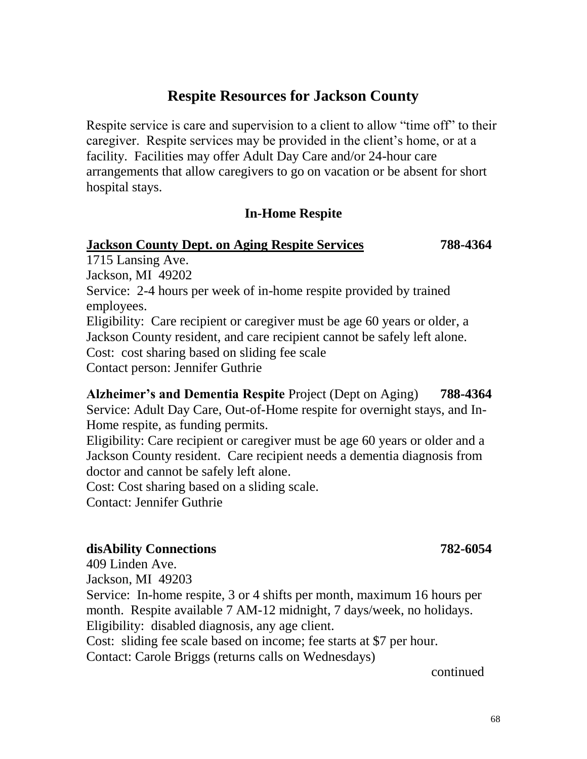# **Respite Resources for Jackson County**

Respite service is care and supervision to a client to allow "time off" to their caregiver. Respite services may be provided in the client's home, or at a facility. Facilities may offer Adult Day Care and/or 24-hour care arrangements that allow caregivers to go on vacation or be absent for short hospital stays.

#### **In-Home Respite**

#### **Jackson County Dept. on Aging Respite Services 788-4364**

1715 Lansing Ave. Jackson, MI 49202 Service: 2-4 hours per week of in-home respite provided by trained employees. Eligibility: Care recipient or caregiver must be age 60 years or older, a Jackson County resident, and care recipient cannot be safely left alone. Cost: cost sharing based on sliding fee scale Contact person: Jennifer Guthrie

**Alzheimer's and Dementia Respite** Project (Dept on Aging) **788-4364** Service: Adult Day Care, Out-of-Home respite for overnight stays, and In-Home respite, as funding permits.

Eligibility: Care recipient or caregiver must be age 60 years or older and a Jackson County resident. Care recipient needs a dementia diagnosis from doctor and cannot be safely left alone.

Cost: Cost sharing based on a sliding scale.

Contact: Jennifer Guthrie

#### **disAbility Connections 782-6054**

409 Linden Ave.

Jackson, MI 49203

Service: In-home respite, 3 or 4 shifts per month, maximum 16 hours per month. Respite available 7 AM-12 midnight, 7 days/week, no holidays. Eligibility: disabled diagnosis, any age client.

Cost: sliding fee scale based on income; fee starts at \$7 per hour.

Contact: Carole Briggs (returns calls on Wednesdays)

continued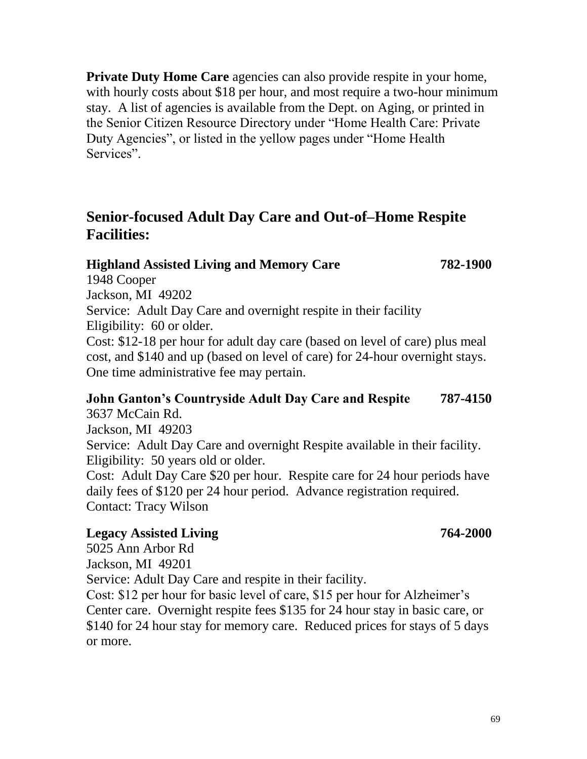**Private Duty Home Care** agencies can also provide respite in your home, with hourly costs about \$18 per hour, and most require a two-hour minimum stay. A list of agencies is available from the Dept. on Aging, or printed in the Senior Citizen Resource Directory under "Home Health Care: Private Duty Agencies", or listed in the yellow pages under "Home Health Services".

# **Senior-focused Adult Day Care and Out-of–Home Respite Facilities:**

#### **Highland Assisted Living and Memory Care 782-1900**

1948 Cooper Jackson, MI 49202 Service: Adult Day Care and overnight respite in their facility Eligibility: 60 or older. Cost: \$12-18 per hour for adult day care (based on level of care) plus meal cost, and \$140 and up (based on level of care) for 24-hour overnight stays. One time administrative fee may pertain.

## **John Ganton's Countryside Adult Day Care and Respite 787-4150** 3637 McCain Rd.

Jackson, MI 49203 Service: Adult Day Care and overnight Respite available in their facility. Eligibility: 50 years old or older. Cost: Adult Day Care \$20 per hour. Respite care for 24 hour periods have

daily fees of \$120 per 24 hour period. Advance registration required. Contact: Tracy Wilson

### **Legacy Assisted Living 764-2000**

5025 Ann Arbor Rd Jackson, MI 49201 Service: Adult Day Care and respite in their facility. Cost: \$12 per hour for basic level of care, \$15 per hour for Alzheimer's Center care. Overnight respite fees \$135 for 24 hour stay in basic care, or \$140 for 24 hour stay for memory care. Reduced prices for stays of 5 days or more.